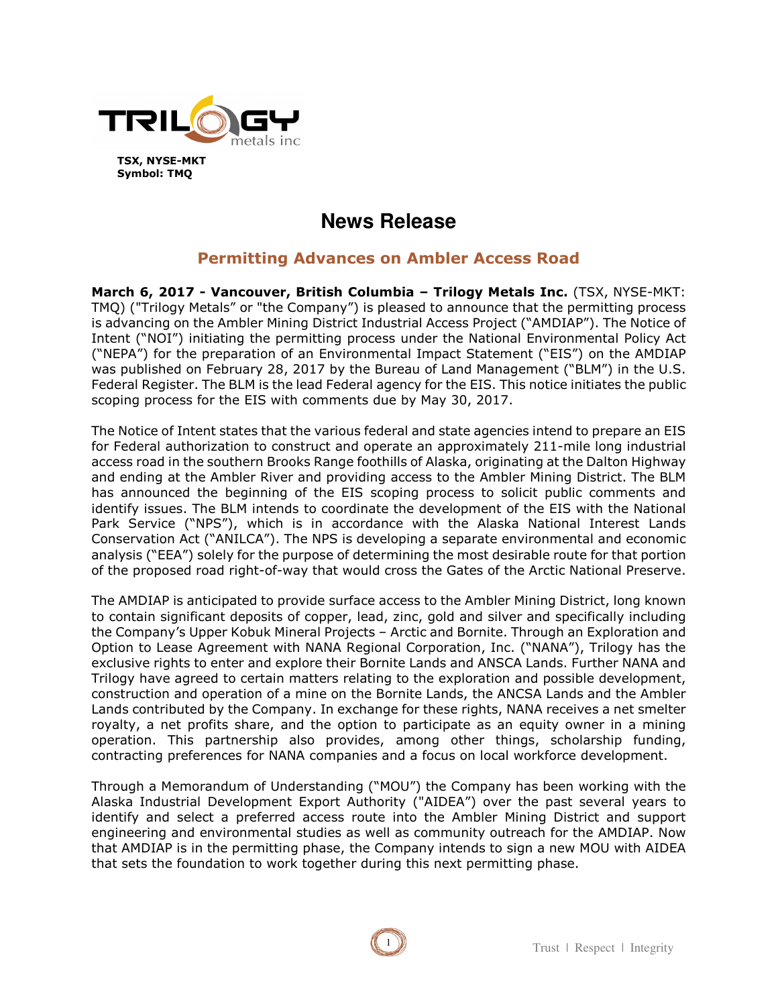

# **News Release**

## **Permitting Advances on Ambler Access Road**

**March 6, 2017 - Vancouver, British Columbia – Trilogy Metals Inc.** (TSX, NYSE-MKT: TMQ) ("Trilogy Metals" or "the Company") is pleased to announce that the permitting process is advancing on the Ambler Mining District Industrial Access Project ("AMDIAP"). The Notice of Intent ("NOI") initiating the permitting process under the National Environmental Policy Act ("NEPA") for the preparation of an Environmental Impact Statement ("EIS") on the AMDIAP was published on February 28, 2017 by the Bureau of Land Management ("BLM") in the U.S. Federal Register. The BLM is the lead Federal agency for the EIS. This notice initiates the public scoping process for the EIS with comments due by May 30, 2017.

The Notice of Intent states that the various federal and state agencies intend to prepare an EIS for Federal authorization to construct and operate an approximately 211-mile long industrial access road in the southern Brooks Range foothills of Alaska, originating at the Dalton Highway and ending at the Ambler River and providing access to the Ambler Mining District. The BLM has announced the beginning of the EIS scoping process to solicit public comments and identify issues. The BLM intends to coordinate the development of the EIS with the National Park Service ("NPS"), which is in accordance with the Alaska National Interest Lands Conservation Act ("ANILCA"). The NPS is developing a separate environmental and economic analysis ("EEA") solely for the purpose of determining the most desirable route for that portion of the proposed road right-of-way that would cross the Gates of the Arctic National Preserve.

The AMDIAP is anticipated to provide surface access to the Ambler Mining District, long known to contain significant deposits of copper, lead, zinc, gold and silver and specifically including the Company's Upper Kobuk Mineral Projects – Arctic and Bornite. Through an Exploration and Option to Lease Agreement with NANA Regional Corporation, Inc. ("NANA"), Trilogy has the exclusive rights to enter and explore their Bornite Lands and ANSCA Lands. Further NANA and Trilogy have agreed to certain matters relating to the exploration and possible development, construction and operation of a mine on the Bornite Lands, the ANCSA Lands and the Ambler Lands contributed by the Company. In exchange for these rights, NANA receives a net smelter royalty, a net profits share, and the option to participate as an equity owner in a mining operation. This partnership also provides, among other things, scholarship funding, contracting preferences for NANA companies and a focus on local workforce development.

Through a Memorandum of Understanding ("MOU") the Company has been working with the Alaska Industrial Development Export Authority ("AIDEA") over the past several years to identify and select a preferred access route into the Ambler Mining District and support engineering and environmental studies as well as community outreach for the AMDIAP. Now that AMDIAP is in the permitting phase, the Company intends to sign a new MOU with AIDEA that sets the foundation to work together during this next permitting phase.

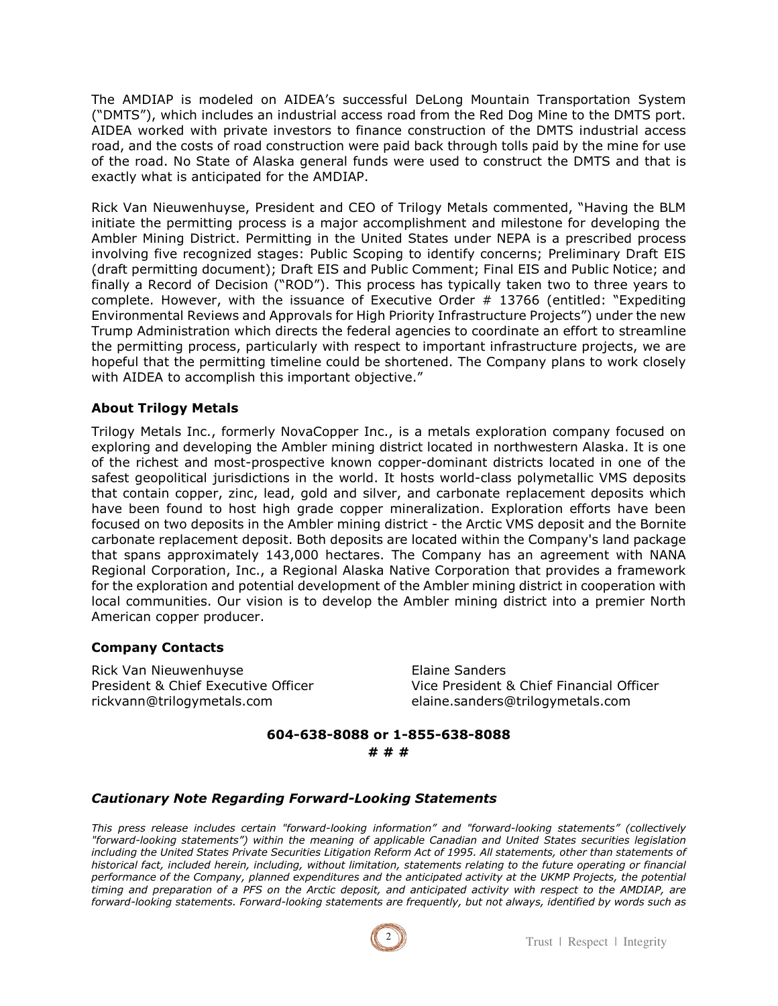The AMDIAP is modeled on AIDEA's successful DeLong Mountain Transportation System ("DMTS"), which includes an industrial access road from the Red Dog Mine to the DMTS port. AIDEA worked with private investors to finance construction of the DMTS industrial access road, and the costs of road construction were paid back through tolls paid by the mine for use of the road. No State of Alaska general funds were used to construct the DMTS and that is exactly what is anticipated for the AMDIAP.

Rick Van Nieuwenhuyse, President and CEO of Trilogy Metals commented, "Having the BLM initiate the permitting process is a major accomplishment and milestone for developing the Ambler Mining District. Permitting in the United States under NEPA is a prescribed process involving five recognized stages: Public Scoping to identify concerns; Preliminary Draft EIS (draft permitting document); Draft EIS and Public Comment; Final EIS and Public Notice; and finally a Record of Decision ("ROD"). This process has typically taken two to three years to complete. However, with the issuance of Executive Order # 13766 (entitled: "Expediting Environmental Reviews and Approvals for High Priority Infrastructure Projects") under the new Trump Administration which directs the federal agencies to coordinate an effort to streamline the permitting process, particularly with respect to important infrastructure projects, we are hopeful that the permitting timeline could be shortened. The Company plans to work closely with AIDEA to accomplish this important objective."

### **About Trilogy Metals**

Trilogy Metals Inc., formerly NovaCopper Inc., is a metals exploration company focused on exploring and developing the Ambler mining district located in northwestern Alaska. It is one of the richest and most-prospective known copper-dominant districts located in one of the safest geopolitical jurisdictions in the world. It hosts world-class polymetallic VMS deposits that contain copper, zinc, lead, gold and silver, and carbonate replacement deposits which have been found to host high grade copper mineralization. Exploration efforts have been focused on two deposits in the Ambler mining district - the Arctic VMS deposit and the Bornite carbonate replacement deposit. Both deposits are located within the Company's land package that spans approximately 143,000 hectares. The Company has an agreement with NANA Regional Corporation, Inc., a Regional Alaska Native Corporation that provides a framework for the exploration and potential development of the Ambler mining district in cooperation with local communities. Our vision is to develop the Ambler mining district into a premier North American copper producer.

#### **Company Contacts**

Rick Van Nieuwenhuyse **Elaine Sanders** rickvann@trilogymetals.com elaine.sanders@trilogymetals.com

President & Chief Executive Officer Vice President & Chief Financial Officer

### **604-638-8088 or 1-855-638-8088 # # #**

#### *Cautionary Note Regarding Forward-Looking Statements*

*This press release includes certain "forward-looking information" and "forward-looking statements" (collectively "forward-looking statements") within the meaning of applicable Canadian and United States securities legislation*  including the United States Private Securities Litigation Reform Act of 1995. All statements, other than statements of *historical fact, included herein, including, without limitation, statements relating to the future operating or financial performance of the Company, planned expenditures and the anticipated activity at the UKMP Projects, the potential timing and preparation of a PFS on the Arctic deposit, and anticipated activity with respect to the AMDIAP, are forward-looking statements. Forward-looking statements are frequently, but not always, identified by words such as*